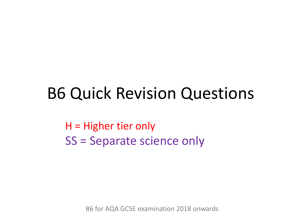## B6 Quick Revision Questions

H = Higher tier only SS = Separate science only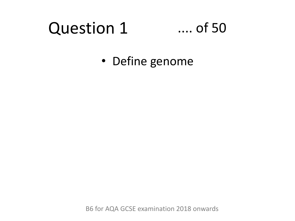### Question 1 .... of 50

• Define genome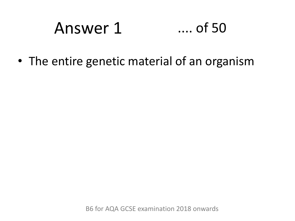# Answer 1 .... of 50

• The entire genetic material of an organism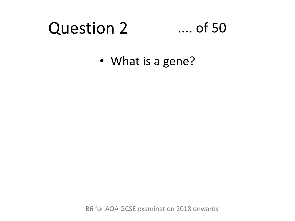### Question 2 .... of 50

• What is a gene?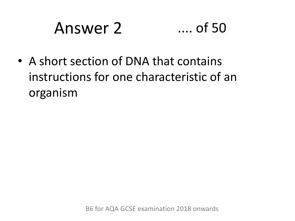# Answer 2 .... of 50

• A short section of DNA that contains instructions for one characteristic of an organism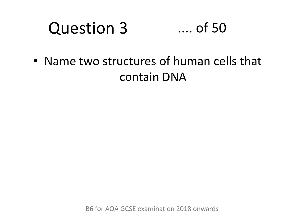### Question 3 .... of 50

• Name two structures of human cells that contain DNA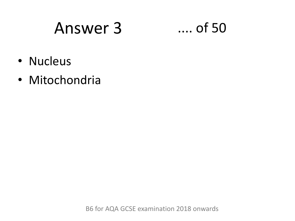## Answer 3 .... of 50

- Nucleus
- Mitochondria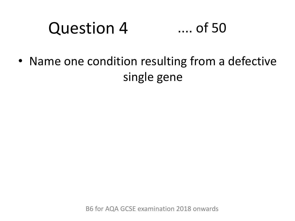#### Question 4 .... of 50

• Name one condition resulting from a defective single gene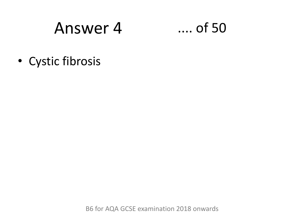## Answer 4

 $...$  of 50

• Cystic fibrosis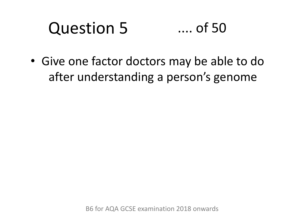### Question 5 .... of 50

• Give one factor doctors may be able to do after understanding a person's genome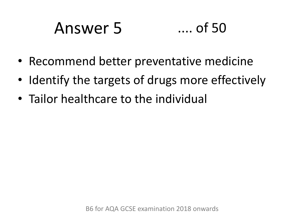# Answer 5 .... of 50

- Recommend better preventative medicine
- Identify the targets of drugs more effectively
- Tailor healthcare to the individual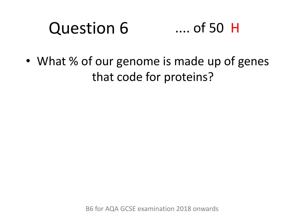### Question 6 .... of 50 H

• What % of our genome is made up of genes that code for proteins?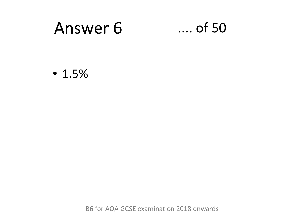# Answer 6 .... of 50

• 1.5%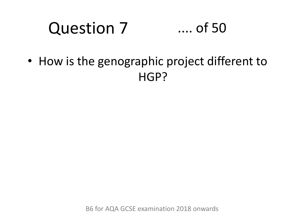#### Question 7 .... of 50

• How is the genographic project different to HGP?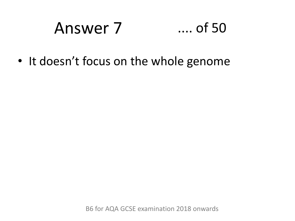# Answer 7 .... of 50

• It doesn't focus on the whole genome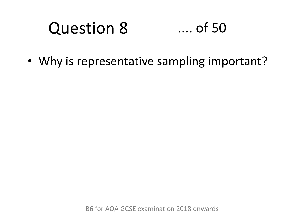### Question 8 .... of 50

• Why is representative sampling important?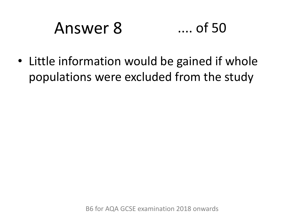# Answer 8 .... of 50

• Little information would be gained if whole populations were excluded from the study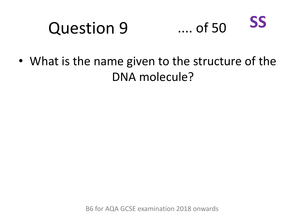#### Question 9 .... of 50 **SS**

• What is the name given to the structure of the DNA molecule?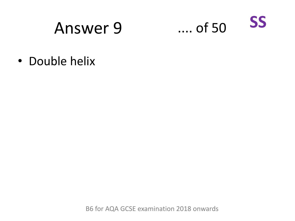## Answer 9

SS  $\dots$  of 50

• Double helix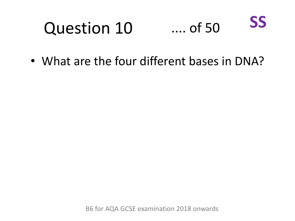#### Question 10 .... of 50 **SS**

• What are the four different bases in DNA?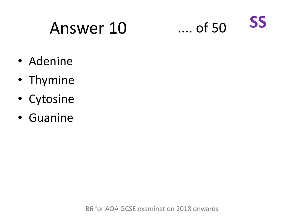# Answer 10 .... of 50



- Adenine
- Thymine
- Cytosine
- Guanine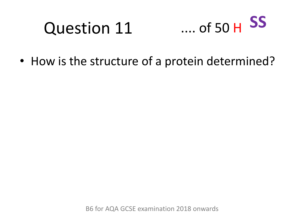# Question 11



• How is the structure of a protein determined?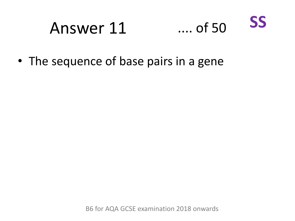### Answer 11 .... of 50 **SS**

• The sequence of base pairs in a gene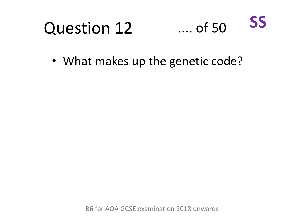#### Question 12 .... of 50 **SS**

• What makes up the genetic code?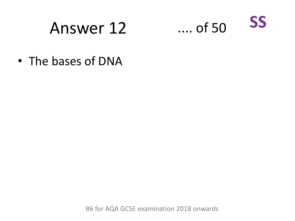# Answer 12



• The bases of DNA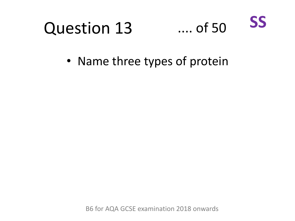

• Name three types of protein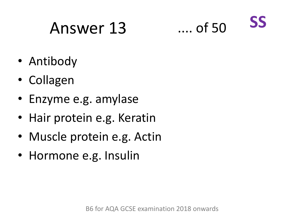# Answer 13 .... of 50



- Antibody
- Collagen
- Enzyme e.g. amylase
- Hair protein e.g. Keratin
- Muscle protein e.g. Actin
- Hormone e.g. Insulin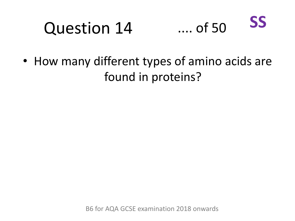#### Question 14 .... of 50 **SS**

• How many different types of amino acids are found in proteins?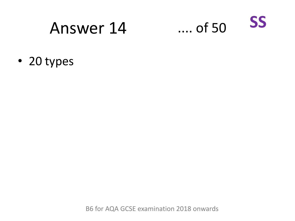## Answer 14



• 20 types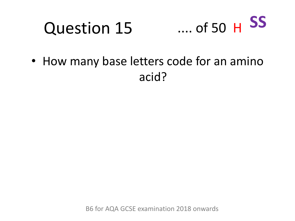#### Question 15 .... of 50 H **SS**

• How many base letters code for an amino acid?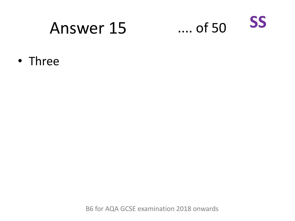## Answer 15



• Three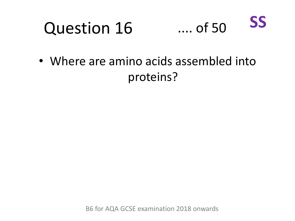



• Where are amino acids assembled into proteins?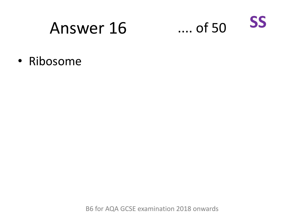## Answer 16

**SS**  $...$  of 50

• Ribosome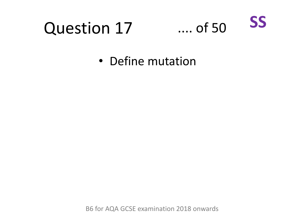# Question 17



• Define mutation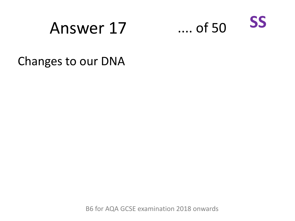## Answer 17 .... of 50



Changes to our DNA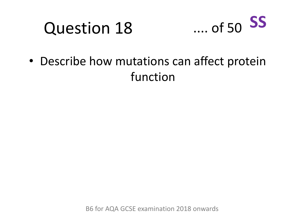# Question 18



• Describe how mutations can affect protein function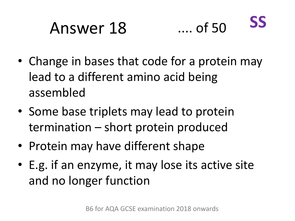### Answer 18 .... of 50 **SS**

- Change in bases that code for a protein may lead to a different amino acid being assembled
- Some base triplets may lead to protein termination – short protein produced
- Protein may have different shape
- E.g. if an enzyme, it may lose its active site and no longer function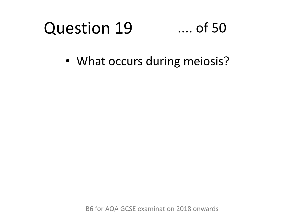#### Question 19 .... of 50

• What occurs during meiosis?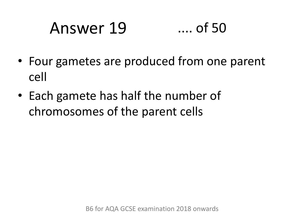# Answer 19 .... of 50

- Four gametes are produced from one parent cell
- Each gamete has half the number of chromosomes of the parent cells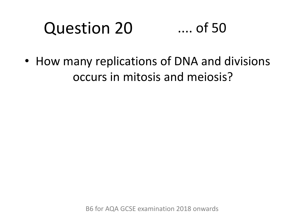### Question 20 .... of 50

• How many replications of DNA and divisions occurs in mitosis and meiosis?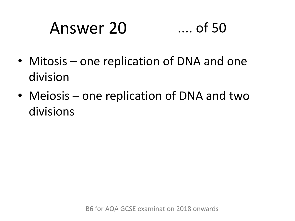# Answer 20 .... of 50

- Mitosis one replication of DNA and one division
- Meiosis one replication of DNA and two divisions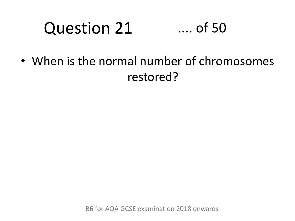### Question 21 .... of 50

• When is the normal number of chromosomes restored?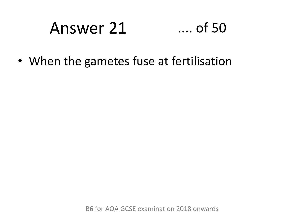# Answer 21 .... of 50

• When the gametes fuse at fertilisation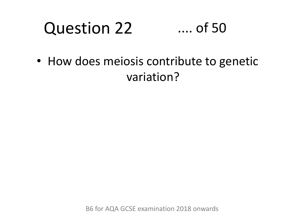#### Question 22 .... of 50

• How does meiosis contribute to genetic variation?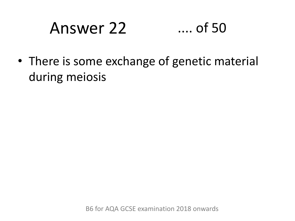# Answer 22 .... of 50

• There is some exchange of genetic material during meiosis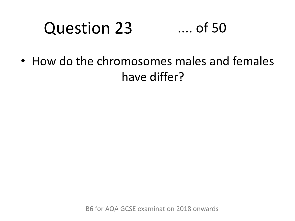#### Question 23 .... of 50

• How do the chromosomes males and females have differ?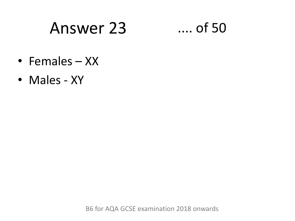### Answer 23 .... of 50

- Females XX
- Males XY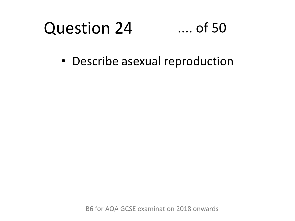#### Question 24 .... of 50

• Describe asexual reproduction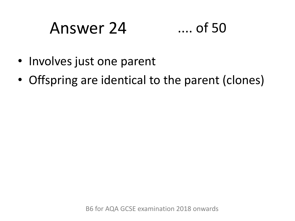# Answer 24 .... of 50



- Involves just one parent
- Offspring are identical to the parent (clones)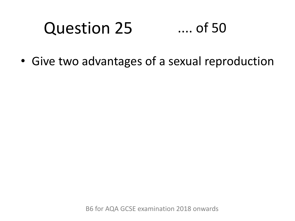#### Question 25 .... of 50

• Give two advantages of a sexual reproduction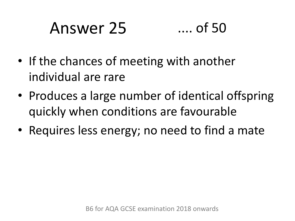# Answer 25 .... of 50

- If the chances of meeting with another individual are rare
- Produces a large number of identical offspring quickly when conditions are favourable
- Requires less energy; no need to find a mate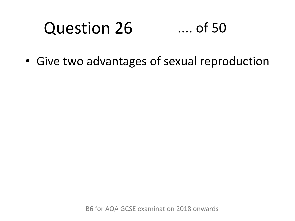#### Question 26 .... of 50

• Give two advantages of sexual reproduction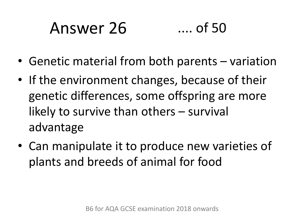# Answer 26 .... of 50

- Genetic material from both parents variation
- If the environment changes, because of their genetic differences, some offspring are more likely to survive than others – survival advantage
- Can manipulate it to produce new varieties of plants and breeds of animal for food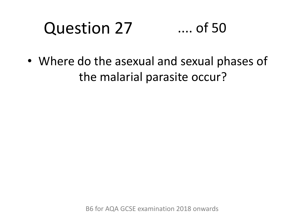### Question 27 .... of 50

• Where do the asexual and sexual phases of the malarial parasite occur?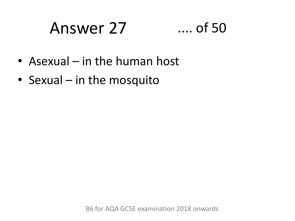### Answer 27 .... of 50



- Asexual in the human host
- Sexual in the mosquito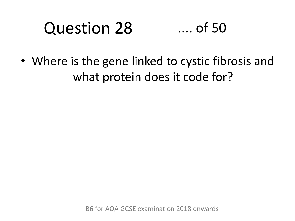#### Question 28 .... of 50

• Where is the gene linked to cystic fibrosis and what protein does it code for?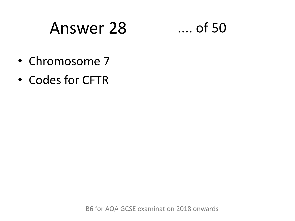### Answer 28 .... of 50

- Chromosome 7
- Codes for CFTR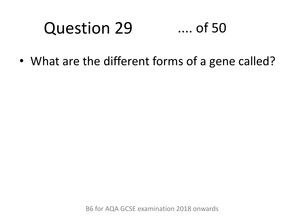#### Question 29 .... of 50

• What are the different forms of a gene called?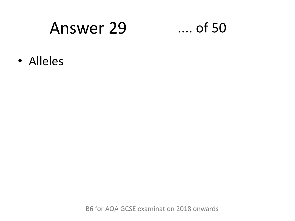### Answer 29 .... of 50

• Alleles

B6 for AQA GCSE examination 2018 onwards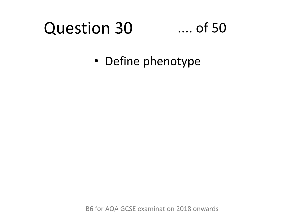### Question 30

### .... of 50

• Define phenotype

B6 for AQA GCSE examination 2018 onwards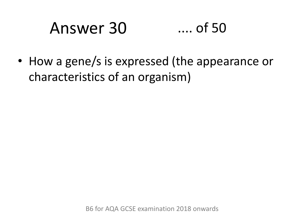# Answer 30 .... of 50

• How a gene/s is expressed (the appearance or characteristics of an organism)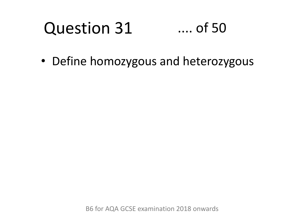#### Question 31 .... of 50

• Define homozygous and heterozygous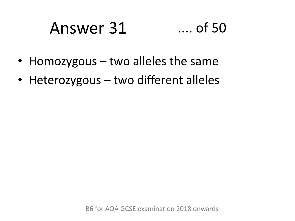# Answer 31 .... of 50

- Homozygous two alleles the same
- Heterozygous two different alleles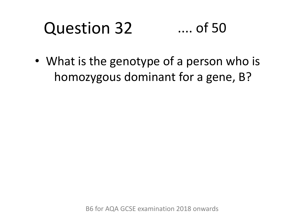#### Question 32 .... of 50

• What is the genotype of a person who is homozygous dominant for a gene, B?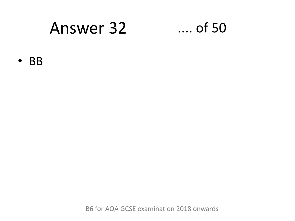### Answer 32 .... of 50

• BB

B6 for AQA GCSE examination 2018 onwards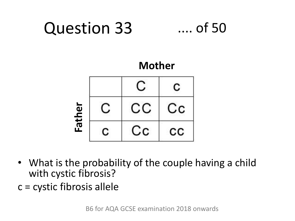

- What is the probability of the couple having a child with cystic fibrosis?
- c = cystic fibrosis allele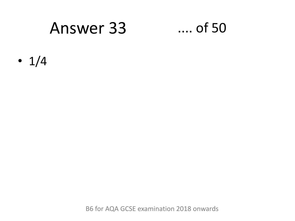### Answer 33 .... of 50

•  $1/4$ 

B6 for AQA GCSE examination 2018 onwards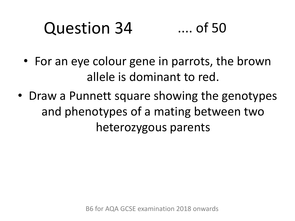#### Question 34 .... of 50

- For an eye colour gene in parrots, the brown allele is dominant to red.
- Draw a Punnett square showing the genotypes and phenotypes of a mating between two heterozygous parents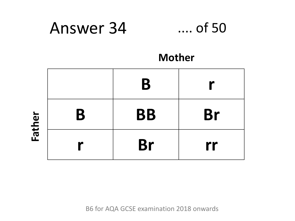### Answer 34 .... of 50



### **Mother**

|   | B         |           |
|---|-----------|-----------|
| B | <b>BB</b> | <b>Br</b> |
|   | <b>Br</b> | rr        |

**Father**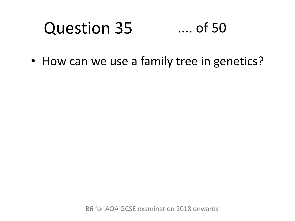#### Question 35 .... of 50

• How can we use a family tree in genetics?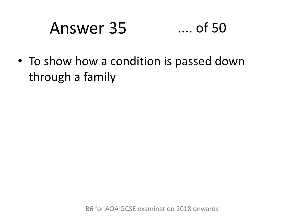### Answer 35 .... of 50

• To show how a condition is passed down through a family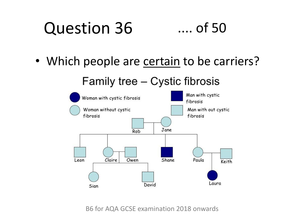#### Question 36 .... of 50

• Which people are certain to be carriers?

Family tree - Cystic fibrosis



B6 for AQA GCSE examination 2018 onwards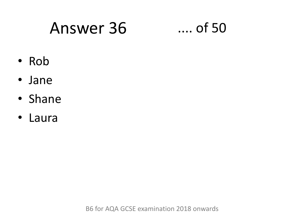### Answer 36 .... of 50

- Rob
- Jane
- Shane
- Laura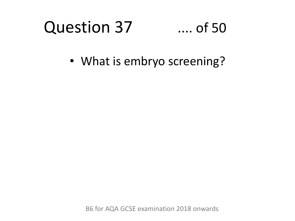### Question 37 .... of 50

• What is embryo screening?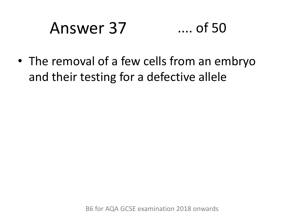# Answer 37 .... of 50

• The removal of a few cells from an embryo and their testing for a defective allele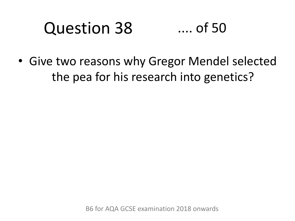### Question 38 .... of 50

• Give two reasons why Gregor Mendel selected the pea for his research into genetics?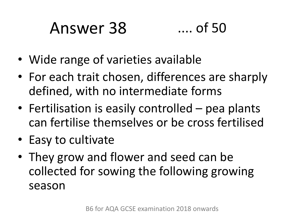# Answer 38 .... of 50



- Wide range of varieties available
- For each trait chosen, differences are sharply defined, with no intermediate forms
- Fertilisation is easily controlled pea plants can fertilise themselves or be cross fertilised
- Easy to cultivate
- They grow and flower and seed can be collected for sowing the following growing season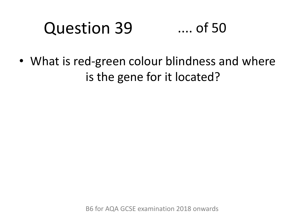### Question 39 .... of 50

• What is red-green colour blindness and where is the gene for it located?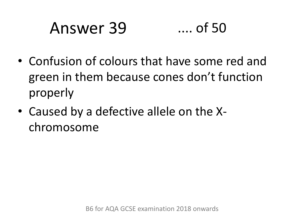# Answer 39 .... of 50

- Confusion of colours that have some red and green in them because cones don't function properly
- Caused by a defective allele on the Xchromosome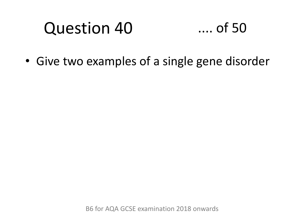

• Give two examples of a single gene disorder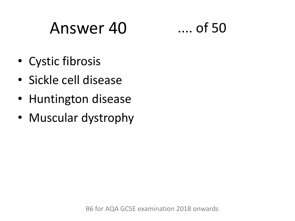# Answer 40 .... of 50

- Cystic fibrosis
- Sickle cell disease
- Huntington disease
- Muscular dystrophy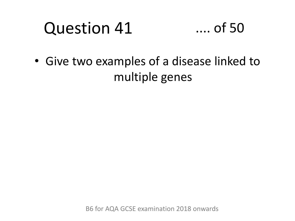

• Give two examples of a disease linked to multiple genes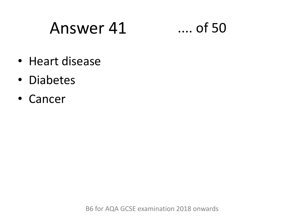# Answer 41 .... of 50

- Heart disease
- Diabetes
- Cancer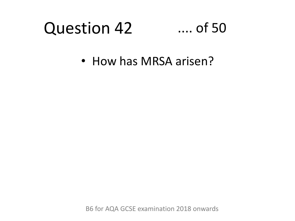### .... of 50

• How has MRSA arisen?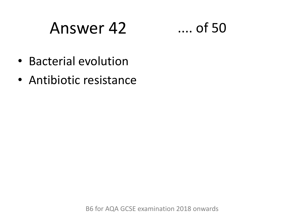# Answer 42 .... of 50



- Bacterial evolution
- Antibiotic resistance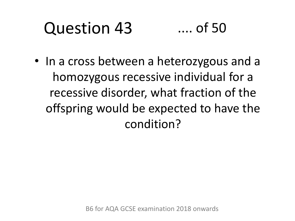#### Question 43 .... of 50

• In a cross between a heterozygous and a homozygous recessive individual for a recessive disorder, what fraction of the offspring would be expected to have the condition?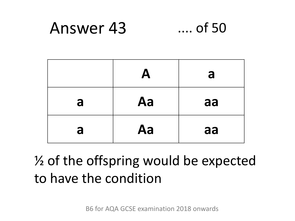#### Answer 43  $\ldots$  of 50

|   | A  | a  |
|---|----|----|
| a | Aa | aa |
| a | Aa | aa |

### 1/2 of the offspring would be expected to have the condition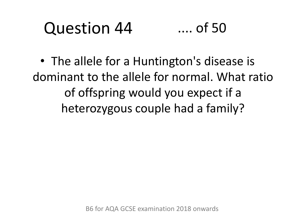#### Question 44 .... of 50

• The allele for a Huntington's disease is dominant to the allele for normal. What ratio of offspring would you expect if a heterozygous couple had a family?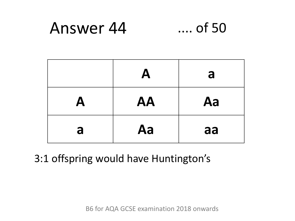#### Answer 44  $\dots$  of 50

|   | $\boldsymbol{\mathsf{A}}$ | a  |
|---|---------------------------|----|
| A | <b>AA</b>                 | Aa |
| a | Aa                        | aa |

### 3:1 offspring would have Huntington's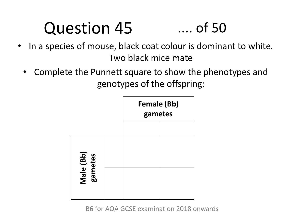### .... of 50

- In a species of mouse, black coat colour is dominant to white. Two black mice mate
	- Complete the Punnett square to show the phenotypes and genotypes of the offspring:

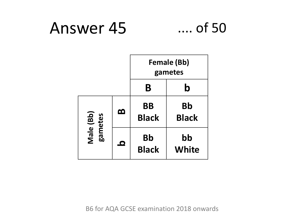### Answer 45 .... of 50



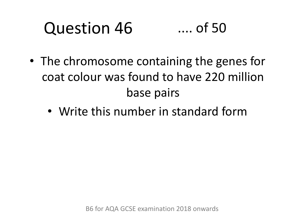### Question 46 .... of 50

- The chromosome containing the genes for coat colour was found to have 220 million base pairs
	- Write this number in standard form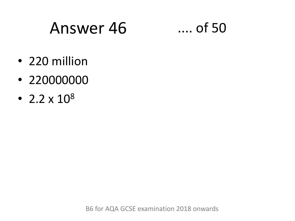### Answer 46 .... of 50

- 220 million
- 220000000
- 2.2  $\times$  10<sup>8</sup>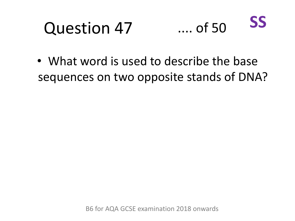

• What word is used to describe the base sequences on two opposite stands of DNA?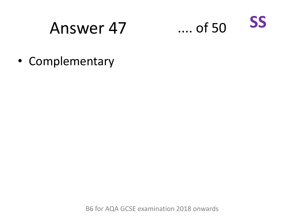### Answer 47



• Complementary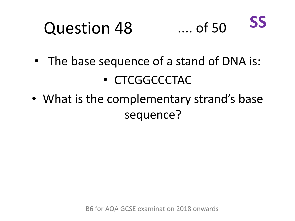

- The base sequence of a stand of DNA is: • CTCGGCCCTAC
- What is the complementary strand's base sequence?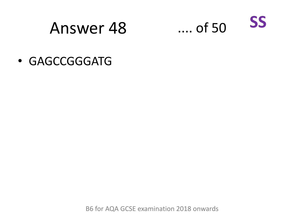### Answer 48



• GAGCCGGGATG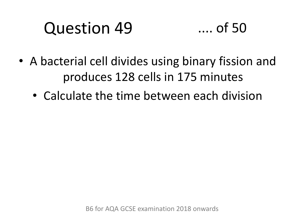- A bacterial cell divides using binary fission and produces 128 cells in 175 minutes
	- Calculate the time between each division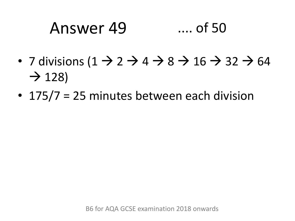### Answer 49 .... of 50

- 7 divisions  $(1 \rightarrow 2 \rightarrow 4 \rightarrow 8 \rightarrow 16 \rightarrow 32 \rightarrow 64$  $\rightarrow$  128)
- 175/7 = 25 minutes between each division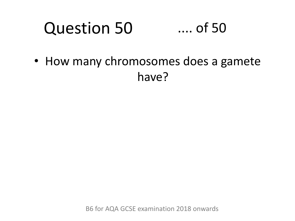### Question 50 .... of 50

• How many chromosomes does a gamete have?